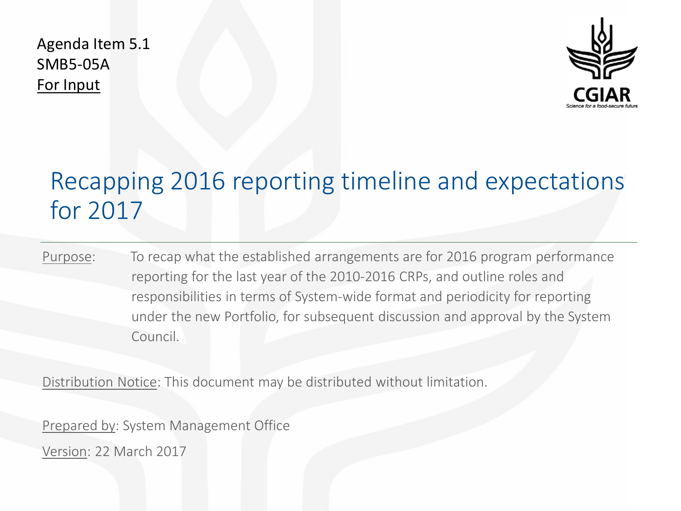Agenda Item 5.1 SMB5-05A For Input



# Recapping 2016 reporting timeline and expectations for 2017

Purpose: To recap what the established arrangements are for 2016 program performance reporting for the last year of the 2010-2016 CRPs, and outline roles and responsibilities in terms of System-wide format and periodicity for reporting under the new Portfolio, for subsequent discussion and approval by the System Council.

Distribution Notice: This document may be distributed without limitation.

Prepared by: System Management Office

Version: 22 March 2017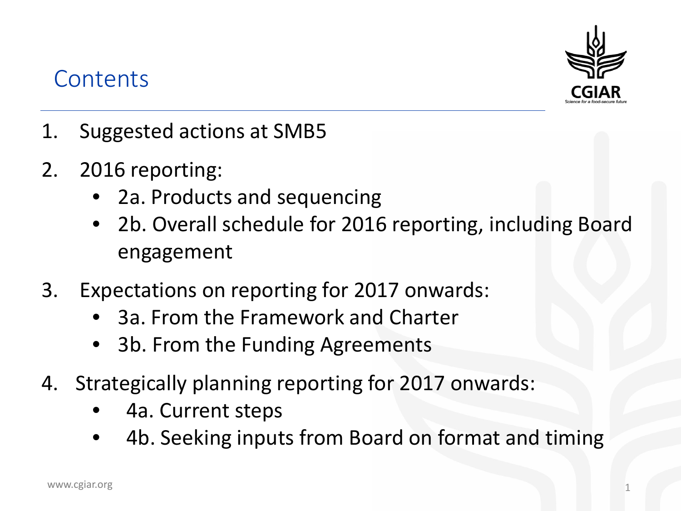# **Contents**



- 1. Suggested actions at SMB5
- 2. 2016 reporting:
	- 2a. Products and sequencing
	- 2b. Overall schedule for 2016 reporting, including Board engagement
- 3. Expectations on reporting for 2017 onwards:
	- 3a. From the Framework and Charter
	- 3b. From the Funding Agreements
- 4. Strategically planning reporting for 2017 onwards:
	- 4a. Current steps
	- 4b. Seeking inputs from Board on format and timing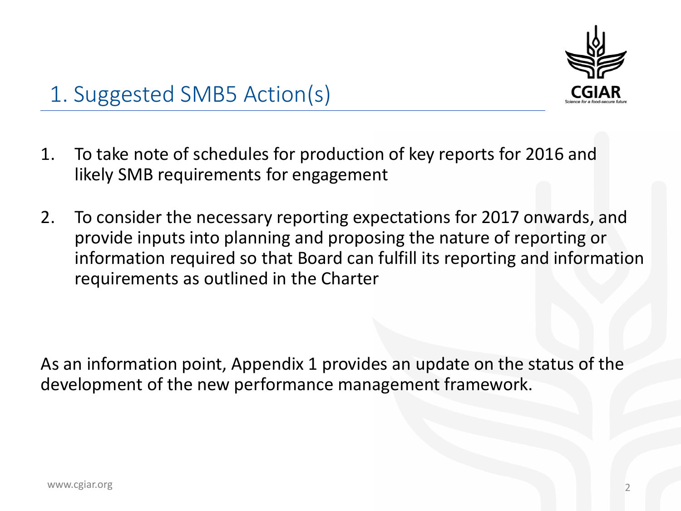

# 1. Suggested SMB5 Action(s)

- 1. To take note of schedules for production of key reports for 2016 and likely SMB requirements for engagement
- 2. To consider the necessary reporting expectations for 2017 onwards, and provide inputs into planning and proposing the nature of reporting or information required so that Board can fulfill its reporting and information requirements as outlined in the Charter

As an information point, Appendix 1 provides an update on the status of the development of the new performance management framework.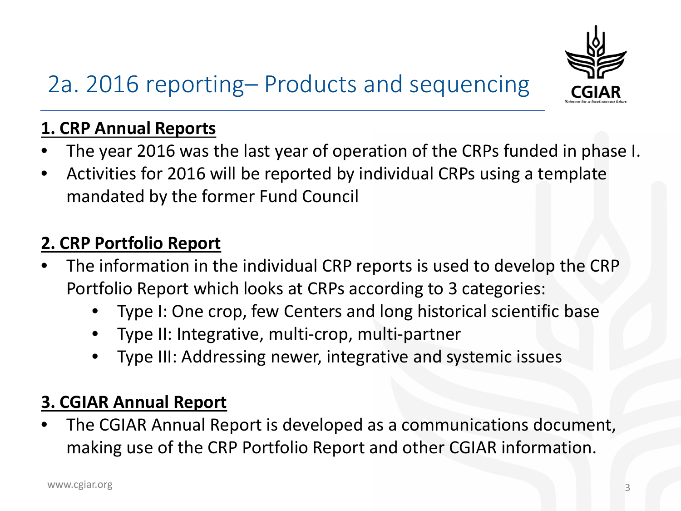

# 2a. 2016 reporting– Products and sequencing

## **1. CRP Annual Reports**

- The year 2016 was the last year of operation of the CRPs funded in phase I.
- Activities for 2016 will be reported by individual CRPs using a template mandated by the former Fund Council

## **2. CRP Portfolio Report**

- The information in the individual CRP reports is used to develop the CRP Portfolio Report which looks at CRPs according to 3 categories:
	- Type I: One crop, few Centers and long historical scientific base
	- Type II: Integrative, multi-crop, multi-partner
	- Type III: Addressing newer, integrative and systemic issues

## **3. CGIAR Annual Report**

• The CGIAR Annual Report is developed as a communications document, making use of the CRP Portfolio Report and other CGIAR information.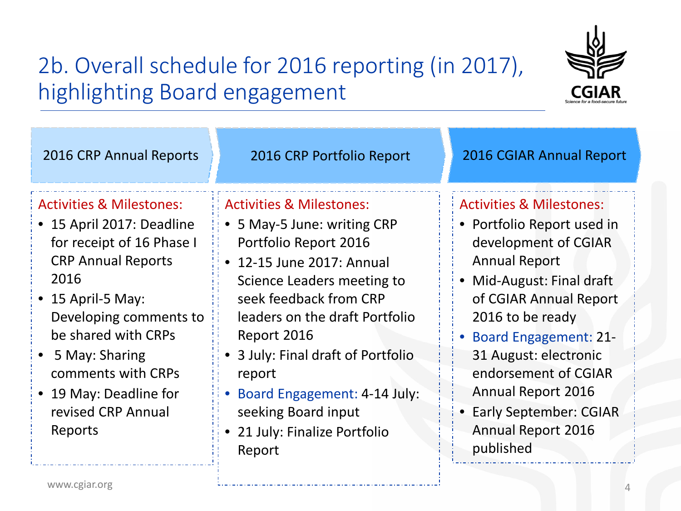

# 2b. Overall schedule for 2016 reporting (in 2017), highlighting Board engagement

| 2016 CRP Annual Reports                                                                                                                                                                                                                                                                                             | 2016 CRP Portfolio Report                                                                                                                                                                                                                                                                                                                                                           | 2016 CGIAR Annual Report                                                                                                                                                                                                                                                                                                                                                  |
|---------------------------------------------------------------------------------------------------------------------------------------------------------------------------------------------------------------------------------------------------------------------------------------------------------------------|-------------------------------------------------------------------------------------------------------------------------------------------------------------------------------------------------------------------------------------------------------------------------------------------------------------------------------------------------------------------------------------|---------------------------------------------------------------------------------------------------------------------------------------------------------------------------------------------------------------------------------------------------------------------------------------------------------------------------------------------------------------------------|
| <b>Activities &amp; Milestones:</b><br>• 15 April 2017: Deadline<br>for receipt of 16 Phase I<br><b>CRP Annual Reports</b><br>2016<br>$\bullet$ 15 April-5 May:<br>Developing comments to<br>be shared with CRPs<br>5 May: Sharing<br>comments with CRPs<br>• 19 May: Deadline for<br>revised CRP Annual<br>Reports | <b>Activities &amp; Milestones:</b><br>• 5 May-5 June: writing CRP<br>Portfolio Report 2016<br>• 12-15 June 2017: Annual<br>Science Leaders meeting to<br>seek feedback from CRP<br>leaders on the draft Portfolio<br>Report 2016<br>• 3 July: Final draft of Portfolio<br>report<br>Board Engagement: 4-14 July:<br>seeking Board input<br>• 21 July: Finalize Portfolio<br>Report | <b>Activities &amp; Milestones:</b><br>• Portfolio Report used in<br>development of CGIAR<br><b>Annual Report</b><br>Mid-August: Final draft<br>of CGIAR Annual Report<br>2016 to be ready<br>• Board Engagement: 21-<br>31 August: electronic<br>endorsement of CGIAR<br><b>Annual Report 2016</b><br>• Early September: CGIAR<br><b>Annual Report 2016</b><br>published |
| www.cgiar.org                                                                                                                                                                                                                                                                                                       |                                                                                                                                                                                                                                                                                                                                                                                     |                                                                                                                                                                                                                                                                                                                                                                           |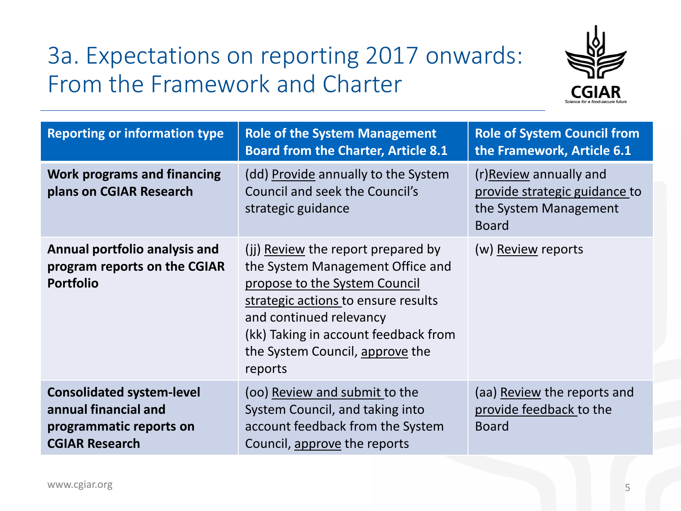# 3a. Expectations on reporting 2017 onwards: From the Framework and Charter



| <b>Reporting or information type</b>                                                                         | <b>Role of the System Management</b><br><b>Board from the Charter, Article 8.1</b>                                                                                                                                                                              | <b>Role of System Council from</b><br>the Framework, Article 6.1                                 |
|--------------------------------------------------------------------------------------------------------------|-----------------------------------------------------------------------------------------------------------------------------------------------------------------------------------------------------------------------------------------------------------------|--------------------------------------------------------------------------------------------------|
| <b>Work programs and financing</b><br>plans on CGIAR Research                                                | (dd) Provide annually to the System<br>Council and seek the Council's<br>strategic guidance                                                                                                                                                                     | (r)Review annually and<br>provide strategic guidance to<br>the System Management<br><b>Board</b> |
| Annual portfolio analysis and<br>program reports on the CGIAR<br><b>Portfolio</b>                            | (ij) Review the report prepared by<br>the System Management Office and<br>propose to the System Council<br>strategic actions to ensure results<br>and continued relevancy<br>(kk) Taking in account feedback from<br>the System Council, approve the<br>reports | (w) Review reports                                                                               |
| <b>Consolidated system-level</b><br>annual financial and<br>programmatic reports on<br><b>CGIAR Research</b> | (oo) Review and submit to the<br>System Council, and taking into<br>account feedback from the System<br>Council, approve the reports                                                                                                                            | (aa) Review the reports and<br>provide feedback to the<br><b>Board</b>                           |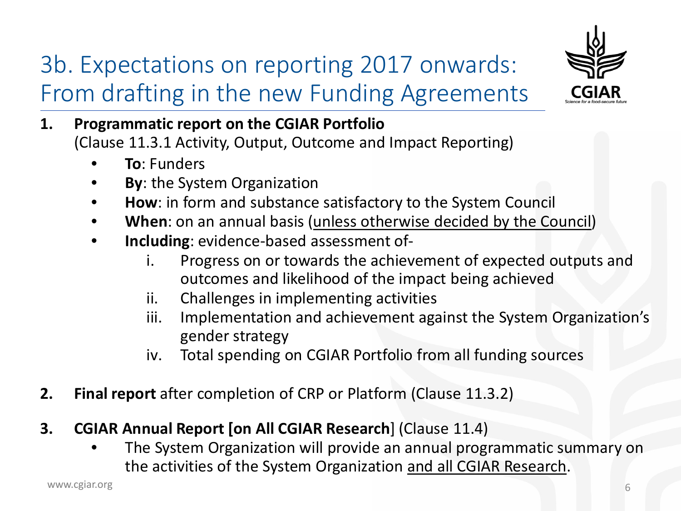# 3b. Expectations on reporting 2017 onwards: From drafting in the new Funding Agreements



- **1. Programmatic report on the CGIAR Portfolio**  (Clause 11.3.1 Activity, Output, Outcome and Impact Reporting)
	- **To**: Funders
	- **By: the System Organization**
	- **How**: in form and substance satisfactory to the System Council
	- **When**: on an annual basis (unless otherwise decided by the Council)
	- **Including**: evidence-based assessment of
		- i. Progress on or towards the achievement of expected outputs and outcomes and likelihood of the impact being achieved
		- ii. Challenges in implementing activities
		- iii. Implementation and achievement against the System Organization's gender strategy
		- iv. Total spending on CGIAR Portfolio from all funding sources
- **2. Final report** after completion of CRP or Platform (Clause 11.3.2)
- **3. CGIAR Annual Report [on All CGIAR Research**] (Clause 11.4)
	- The System Organization will provide an annual programmatic summary on the activities of the System Organization and all CGIAR Research.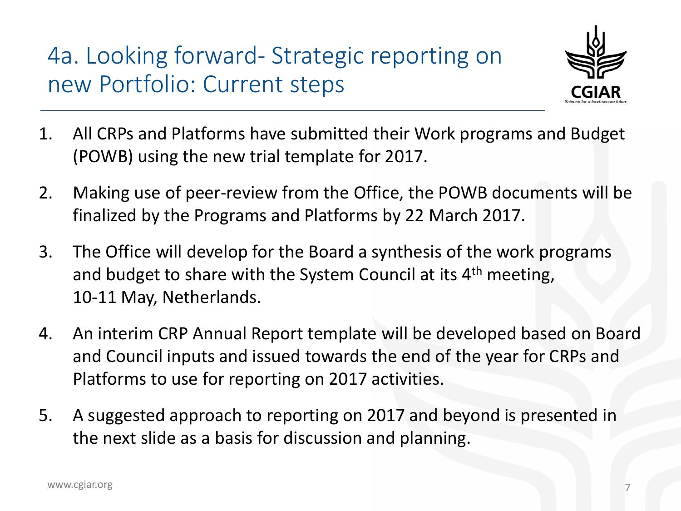4a. Looking forward- Strategic reporting on new Portfolio: Current steps



- 1. All CRPs and Platforms have submitted their Work programs and Budget (POWB) using the new trial template for 2017.
- 2. Making use of peer-review from the Office, the POWB documents will be finalized by the Programs and Platforms by 22 March 2017.
- 3. The Office will develop for the Board a synthesis of the work programs and budget to share with the System Council at its 4<sup>th</sup> meeting, 10-11 May, Netherlands.
- 4. An interim CRP Annual Report template will be developed based on Board and Council inputs and issued towards the end of the year for CRPs and Platforms to use for reporting on 2017 activities.
- 5. A suggested approach to reporting on 2017 and beyond is presented in the next slide as a basis for discussion and planning.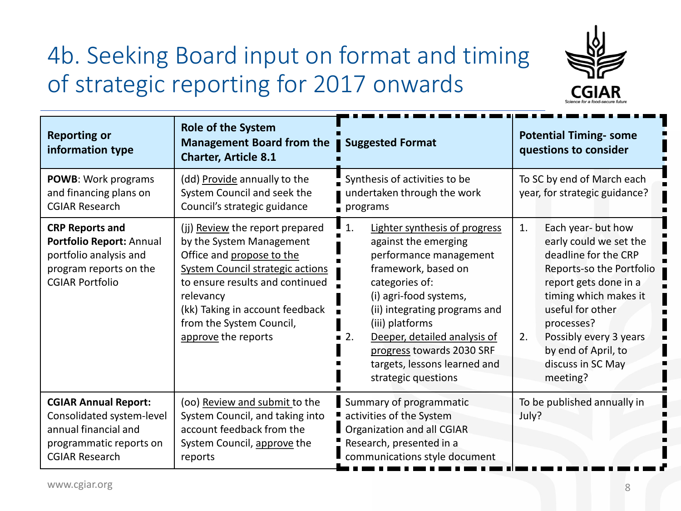# 4b. Seeking Board input on format and timing of strategic reporting for 2017 onwards



| <b>Reporting or</b><br>information type                                                                                              | <b>Role of the System</b><br>Management Board from the<br><b>Charter, Article 8.1</b>                                                                                                                                                                                     | Suggested Format                                                                                                                                                                                                                                                                                                                       | <b>Potential Timing- some</b><br>questions to consider                                                                                                                                                                                                                             |
|--------------------------------------------------------------------------------------------------------------------------------------|---------------------------------------------------------------------------------------------------------------------------------------------------------------------------------------------------------------------------------------------------------------------------|----------------------------------------------------------------------------------------------------------------------------------------------------------------------------------------------------------------------------------------------------------------------------------------------------------------------------------------|------------------------------------------------------------------------------------------------------------------------------------------------------------------------------------------------------------------------------------------------------------------------------------|
| POWB: Work programs<br>and financing plans on<br><b>CGIAR Research</b>                                                               | (dd) Provide annually to the<br>System Council and seek the<br>Council's strategic guidance                                                                                                                                                                               | Synthesis of activities to be<br>undertaken through the work<br>$\mathsf{I}$ programs                                                                                                                                                                                                                                                  | To SC by end of March each<br>year, for strategic guidance?                                                                                                                                                                                                                        |
| <b>CRP Reports and</b><br>Portfolio Report: Annual<br>portfolio analysis and<br>program reports on the<br><b>CGIAR Portfolio</b>     | (jj) Review the report prepared<br>by the System Management<br>Office and propose to the<br><b>System Council strategic actions</b><br>to ensure results and continued<br>relevancy<br>(kk) Taking in account feedback<br>from the System Council,<br>approve the reports | Lighter synthesis of progress<br>1.<br>against the emerging<br>performance management<br>framework, based on<br>categories of:<br>(i) agri-food systems,<br>(ii) integrating programs and<br>(iii) platforms<br>Deeper, detailed analysis of<br>2.<br>progress towards 2030 SRF<br>targets, lessons learned and<br>strategic questions | Each year- but how<br>1.<br>early could we set the<br>deadline for the CRP<br>Reports-so the Portfolio<br>report gets done in a<br>timing which makes it<br>useful for other<br>processes?<br>Possibly every 3 years<br>2.<br>by end of April, to<br>discuss in SC May<br>meeting? |
| <b>CGIAR Annual Report:</b><br>Consolidated system-level<br>annual financial and<br>programmatic reports on<br><b>CGIAR Research</b> | (oo) Review and submit to the<br>System Council, and taking into<br>account feedback from the<br>System Council, approve the<br>reports                                                                                                                                   | Summary of programmatic<br>activities of the System<br>Organization and all CGIAR<br>Research, presented in a<br>communications style document                                                                                                                                                                                         | To be published annually in<br>July?                                                                                                                                                                                                                                               |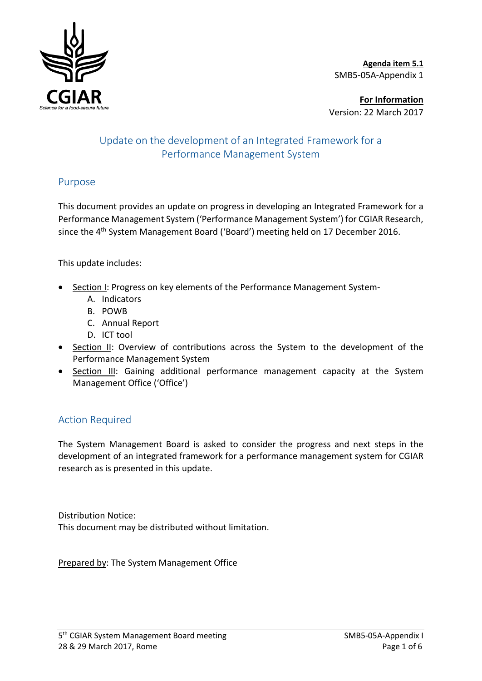

**Agenda item 5.1**  SMB5-05A-Appendix 1

**For Information** Version: 22 March 2017

### Update on the development of an Integrated Framework for a Performance Management System

### Purpose

This document provides an update on progress in developing an Integrated Framework for a Performance Management System ('Performance Management System') for CGIAR Research, since the 4<sup>th</sup> System Management Board ('Board') meeting held on 17 December 2016.

This update includes:

- Section I: Progress on key elements of the Performance Management System-
	- A. Indicators
	- B. POWB
	- C. Annual Report
	- D. ICT tool
- Section II: Overview of contributions across the System to the development of the Performance Management System
- Section III: Gaining additional performance management capacity at the System Management Office ('Office')

### Action Required

The System Management Board is asked to consider the progress and next steps in the development of an integrated framework for a performance management system for CGIAR research as is presented in this update.

Distribution Notice:

This document may be distributed without limitation.

Prepared by: The System Management Office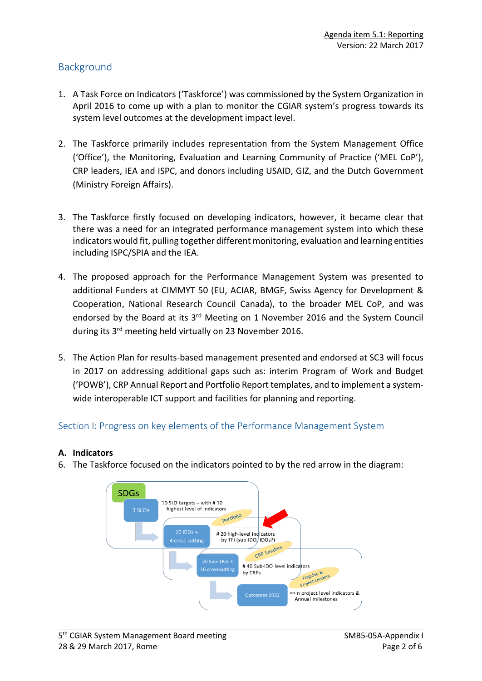### Background

- 1. A Task Force on Indicators ('Taskforce') was commissioned by the System Organization in April 2016 to come up with a plan to monitor the CGIAR system's progress towards its system level outcomes at the development impact level.
- 2. The Taskforce primarily includes representation from the System Management Office ('Office'), the Monitoring, Evaluation and Learning Community of Practice ('MEL CoP'), CRP leaders, IEA and ISPC, and donors including USAID, GIZ, and the Dutch Government (Ministry Foreign Affairs).
- 3. The Taskforce firstly focused on developing indicators, however, it became clear that there was a need for an integrated performance management system into which these indicators would fit, pulling together different monitoring, evaluation and learning entities including ISPC/SPIA and the IEA.
- 4. The proposed approach for the Performance Management System was presented to additional Funders at CIMMYT 50 (EU, ACIAR, BMGF, Swiss Agency for Development & Cooperation, National Research Council Canada), to the broader MEL CoP, and was endorsed by the Board at its  $3<sup>rd</sup>$  Meeting on 1 November 2016 and the System Council during its 3<sup>rd</sup> meeting held virtually on 23 November 2016.
- 5. The Action Plan for results-based management presented and endorsed at SC3 will focus in 2017 on addressing additional gaps such as: interim Program of Work and Budget ('POWB'), CRP Annual Report and Portfolio Report templates, and to implement a systemwide interoperable ICT support and facilities for planning and reporting.

#### Section I: Progress on key elements of the Performance Management System

#### **A. Indicators**

6. The Taskforce focused on the indicators pointed to by the red arrow in the diagram:

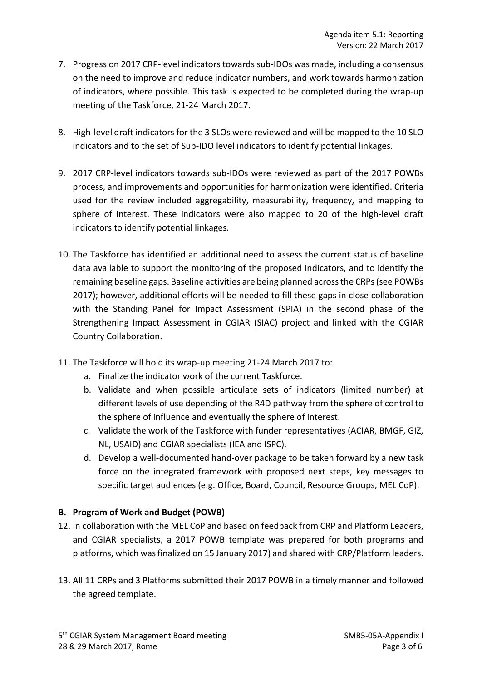- 7. Progress on 2017 CRP-level indicators towards sub-IDOs was made, including a consensus on the need to improve and reduce indicator numbers, and work towards harmonization of indicators, where possible. This task is expected to be completed during the wrap-up meeting of the Taskforce, 21-24 March 2017.
- 8. High-level draft indicators for the 3 SLOs were reviewed and will be mapped to the 10 SLO indicators and to the set of Sub-IDO level indicators to identify potential linkages.
- 9. 2017 CRP-level indicators towards sub-IDOs were reviewed as part of the 2017 POWBs process, and improvements and opportunities for harmonization were identified. Criteria used for the review included aggregability, measurability, frequency, and mapping to sphere of interest. These indicators were also mapped to 20 of the high-level draft indicators to identify potential linkages.
- 10. The Taskforce has identified an additional need to assess the current status of baseline data available to support the monitoring of the proposed indicators, and to identify the remaining baseline gaps. Baseline activities are being planned acrossthe CRPs (see POWBs 2017); however, additional efforts will be needed to fill these gaps in close collaboration with the Standing Panel for Impact Assessment (SPIA) in the second phase of the Strengthening Impact Assessment in CGIAR (SIAC) project and linked with the CGIAR Country Collaboration.
- 11. The Taskforce will hold its wrap-up meeting 21-24 March 2017 to:
	- a. Finalize the indicator work of the current Taskforce.
	- b. Validate and when possible articulate sets of indicators (limited number) at different levels of use depending of the R4D pathway from the sphere of control to the sphere of influence and eventually the sphere of interest.
	- c. Validate the work of the Taskforce with funder representatives (ACIAR, BMGF, GIZ, NL, USAID) and CGIAR specialists (IEA and ISPC).
	- d. Develop a well-documented hand-over package to be taken forward by a new task force on the integrated framework with proposed next steps, key messages to specific target audiences (e.g. Office, Board, Council, Resource Groups, MEL CoP).

### **B. Program of Work and Budget (POWB)**

- 12. In collaboration with the MEL CoP and based on feedback from CRP and Platform Leaders, and CGIAR specialists, a 2017 POWB template was prepared for both programs and platforms, which was finalized on 15 January 2017) and shared with CRP/Platform leaders.
- 13. All 11 CRPs and 3 Platforms submitted their 2017 POWB in a timely manner and followed the agreed template.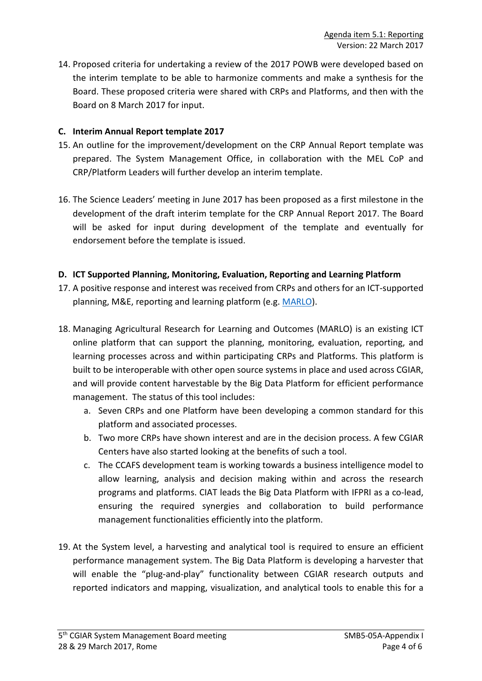14. Proposed criteria for undertaking a review of the 2017 POWB were developed based on the interim template to be able to harmonize comments and make a synthesis for the Board. These proposed criteria were shared with CRPs and Platforms, and then with the Board on 8 March 2017 for input.

#### **C. Interim Annual Report template 2017**

- 15. An outline for the improvement/development on the CRP Annual Report template was prepared. The System Management Office, in collaboration with the MEL CoP and CRP/Platform Leaders will further develop an interim template.
- 16. The Science Leaders' meeting in June 2017 has been proposed as a first milestone in the development of the draft interim template for the CRP Annual Report 2017. The Board will be asked for input during development of the template and eventually for endorsement before the template is issued.

#### **D. ICT Supported Planning, Monitoring, Evaluation, Reporting and Learning Platform**

- 17. A positive response and interest was received from CRPs and others for an ICT-supported planning, M&E, reporting and learning platform (e.g. MARLO).
- 18. Managing Agricultural Research for Learning and Outcomes (MARLO) is an existing ICT online platform that can support the planning, monitoring, evaluation, reporting, and learning processes across and within participating CRPs and Platforms. This platform is built to be interoperable with other open source systems in place and used across CGIAR, and will provide content harvestable by the Big Data Platform for efficient performance management. The status of this tool includes:
	- a. Seven CRPs and one Platform have been developing a common standard for this platform and associated processes.
	- b. Two more CRPs have shown interest and are in the decision process. A few CGIAR Centers have also started looking at the benefits of such a tool.
	- c. The CCAFS development team is working towards a business intelligence model to allow learning, analysis and decision making within and across the research programs and platforms. CIAT leads the Big Data Platform with IFPRI as a co-lead, ensuring the required synergies and collaboration to build performance management functionalities efficiently into the platform.
- 19. At the System level, a harvesting and analytical tool is required to ensure an efficient performance management system. The Big Data Platform is developing a harvester that will enable the "plug-and-play" functionality between CGIAR research outputs and reported indicators and mapping, visualization, and analytical tools to enable this for a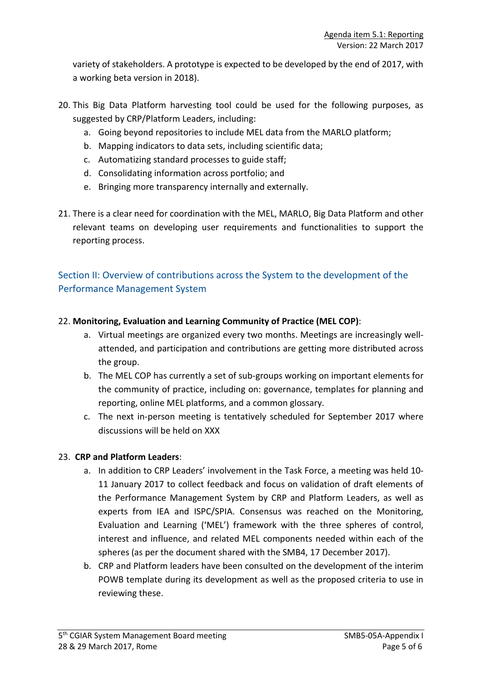variety of stakeholders. A prototype is expected to be developed by the end of 2017, with a working beta version in 2018).

- 20. This Big Data Platform harvesting tool could be used for the following purposes, as suggested by CRP/Platform Leaders, including:
	- a. Going beyond repositories to include MEL data from the MARLO platform;
	- b. Mapping indicators to data sets, including scientific data;
	- c. Automatizing standard processes to guide staff;
	- d. Consolidating information across portfolio; and
	- e. Bringing more transparency internally and externally.
- 21. There is a clear need for coordination with the MEL, MARLO, Big Data Platform and other relevant teams on developing user requirements and functionalities to support the reporting process.

### Section II: Overview of contributions across the System to the development of the Performance Management System

### 22. **Monitoring, Evaluation and Learning Community of Practice (MEL COP)**:

- a. Virtual meetings are organized every two months. Meetings are increasingly wellattended, and participation and contributions are getting more distributed across the group.
- b. The MEL COP has currently a set of sub-groups working on important elements for the community of practice, including on: governance, templates for planning and reporting, online MEL platforms, and a common glossary.
- c. The next in-person meeting is tentatively scheduled for September 2017 where discussions will be held on XXX

### 23. **CRP and Platform Leaders**:

- a. In addition to CRP Leaders' involvement in the Task Force, a meeting was held 10- 11 January 2017 to collect feedback and focus on validation of draft elements of the Performance Management System by CRP and Platform Leaders, as well as experts from IEA and ISPC/SPIA. Consensus was reached on the Monitoring, Evaluation and Learning ('MEL') framework with the three spheres of control, interest and influence, and related MEL components needed within each of the spheres (as per the document shared with the SMB4, 17 December 2017).
- b. CRP and Platform leaders have been consulted on the development of the interim POWB template during its development as well as the proposed criteria to use in reviewing these.